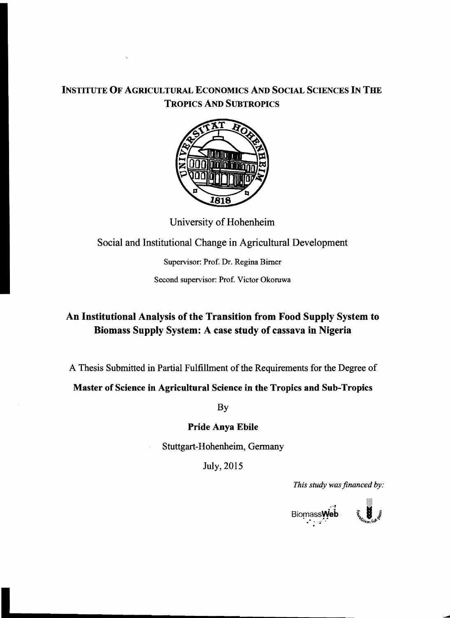### INSTITUTE OF AGRICULTURAL ECONOMICS MD SOCIAL SCIENCES IN THE TROPICS AND SUBTROPICS



University of Hohenheim

# Social and Institutional Change in Agricultural Development

Supervisor: Prof. Dr. Regina Bimer

Second supervisor: Prof. Victor Okoruwa

# An Institutional Analysis of tbe Transition from Food Supply System to Biomass Supply System: A case study of cassava in Nigeria

A Thesis Submitted in Partial Fulfillment of the Requirements for the Degree of

Master of Science in Agricultural Science in tbe Tropics and Sub-Tropics

By

#### Pride Anya Ebile

Stuttgart-Hohenheim, Germany

July, 2015

*This study was financed by:*